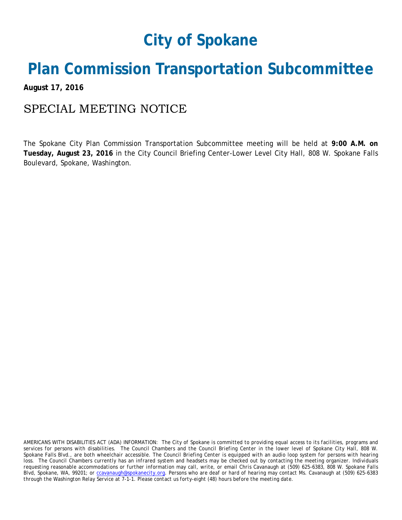## **City of Spokane**

## **Plan Commission Transportation Subcommittee**

**August 17, 2016**

## SPECIAL MEETING NOTICE

The Spokane City Plan Commission Transportation Subcommittee meeting will be held at **9:00 A.M. on Tuesday, August 23, 2016** in the City Council Briefing Center-Lower Level City Hall, 808 W. Spokane Falls Boulevard, Spokane, Washington.

*AMERICANS WITH DISABILITIES ACT (ADA) INFORMATION: The City of Spokane is committed to providing equal access to its facilities, programs and services for persons with disabilities. The Council Chambers and the Council Briefing Center in the lower level of Spokane City Hall, 808 W. Spokane Falls Blvd., are both wheelchair accessible. The Council Briefing Center is equipped with an audio loop system for persons with hearing*  loss. The Council Chambers currently has an infrared system and headsets may be checked out by contacting the meeting organizer. Individuals *requesting reasonable accommodations or further information may call, write, or email Chris Cavanaugh at (509) 625-6383, 808 W. Spokane Falls Blvd, Spokane, WA, 99201; or [ccavanaugh@spokanecity.org.](mailto:ccavanaugh@spokanecity.org) Persons who are deaf or hard of hearing may contact Ms. Cavanaugh at (509) 625-6383 through the Washington Relay Service at 7-1-1. Please contact us forty-eight (48) hours before the meeting date.*